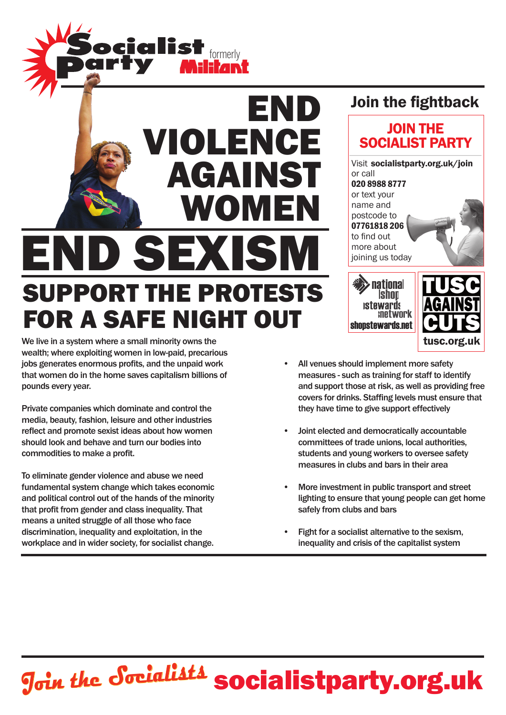

# against women END SEXIS Support the protests for a safe night out

We live in a system where a small minority owns the tusc of tuscal control of tusc.org.uk wealth; where exploiting women in low-paid, precarious jobs generates enormous profits, and the unpaid work that women do in the home saves capitalism billions of pounds every year.

Private companies which dominate and control the media, beauty, fashion, leisure and other industries reflect and promote sexist ideas about how women should look and behave and turn our bodies into commodities to make a profit.

To eliminate gender violence and abuse we need fundamental system change which takes economic and political control out of the hands of the minority that profit from gender and class inequality. That means a united struggle of all those who face discrimination, inequality and exploitation, in the workplace and in wider society, for socialist change.

## Join the fightback

END

violence





shopstewards.net

- Joint elected and democratically accountable committees of trade unions, local authorities, students and young workers to oversee safety measures in clubs and bars in their area
- More investment in public transport and street lighting to ensure that young people can get home safely from clubs and bars
- Fight for a socialist alternative to the sexism. inequality and crisis of the capitalist system

# **Join the Socialists socialistparty.org.uk**